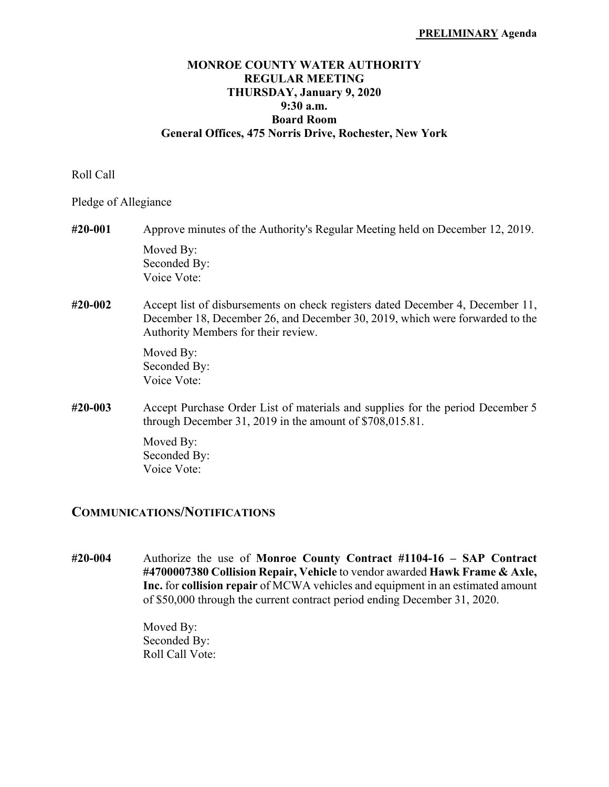## **MONROE COUNTY WATER AUTHORITY REGULAR MEETING THURSDAY, January 9, 2020 9:30 a.m. Board Room General Offices, 475 Norris Drive, Rochester, New York**

Roll Call

Pledge of Allegiance

- **#20-001** Approve minutes of the Authority's Regular Meeting held on December 12, 2019. Moved By: Seconded By: Voice Vote:
- **#20-002** Accept list of disbursements on check registers dated December 4, December 11, December 18, December 26, and December 30, 2019, which were forwarded to the Authority Members for their review.

 Moved By: Seconded By: Voice Vote:

**#20-003** Accept Purchase Order List of materials and supplies for the period December 5 through December 31, 2019 in the amount of \$708,015.81.

> Moved By: Seconded By: Voice Vote:

## **COMMUNICATIONS/NOTIFICATIONS**

**#20-004** Authorize the use of **Monroe County Contract #1104-16 – SAP Contract #4700007380 Collision Repair, Vehicle** to vendor awarded **Hawk Frame & Axle, Inc.** for **collision repair** of MCWA vehicles and equipment in an estimated amount of \$50,000 through the current contract period ending December 31, 2020.

> Moved By: Seconded By: Roll Call Vote: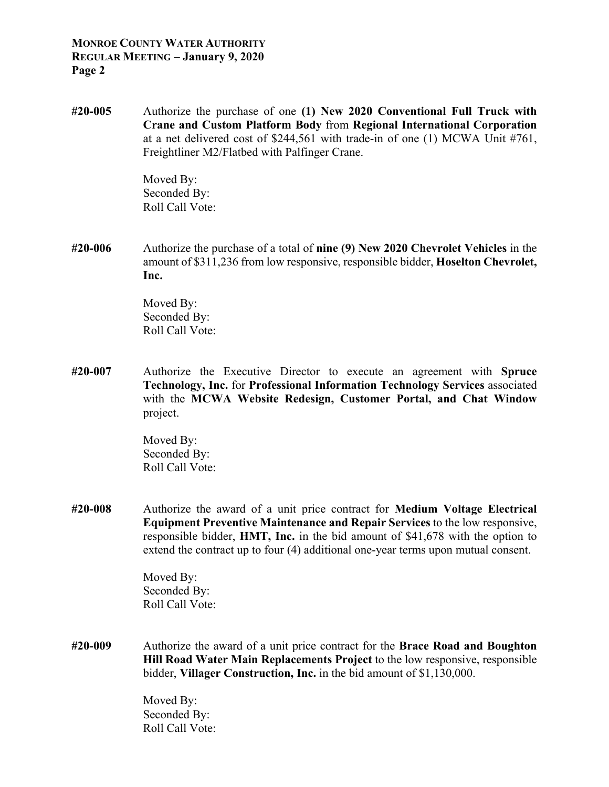## **MONROE COUNTY WATER AUTHORITY REGULAR MEETING – January 9, 2020 Page 2**

**#20-005** Authorize the purchase of one **(1) New 2020 Conventional Full Truck with Crane and Custom Platform Body** from **Regional International Corporation** at a net delivered cost of \$244,561 with trade-in of one (1) MCWA Unit #761, Freightliner M2/Flatbed with Palfinger Crane.

> Moved By: Seconded By: Roll Call Vote:

**#20-006** Authorize the purchase of a total of **nine (9) New 2020 Chevrolet Vehicles** in the amount of \$311,236 from low responsive, responsible bidder, **Hoselton Chevrolet, Inc.** 

> Moved By: Seconded By: Roll Call Vote:

**#20-007** Authorize the Executive Director to execute an agreement with **Spruce Technology, Inc.** for **Professional Information Technology Services** associated with the **MCWA Website Redesign, Customer Portal, and Chat Window** project.

> Moved By: Seconded By: Roll Call Vote:

**#20-008** Authorize the award of a unit price contract for **Medium Voltage Electrical Equipment Preventive Maintenance and Repair Services** to the low responsive, responsible bidder, **HMT, Inc.** in the bid amount of \$41,678 with the option to extend the contract up to four (4) additional one-year terms upon mutual consent.

> Moved By: Seconded By: Roll Call Vote:

**#20-009** Authorize the award of a unit price contract for the **Brace Road and Boughton Hill Road Water Main Replacements Project** to the low responsive, responsible bidder, **Villager Construction, Inc.** in the bid amount of \$1,130,000.

> Moved By: Seconded By: Roll Call Vote: